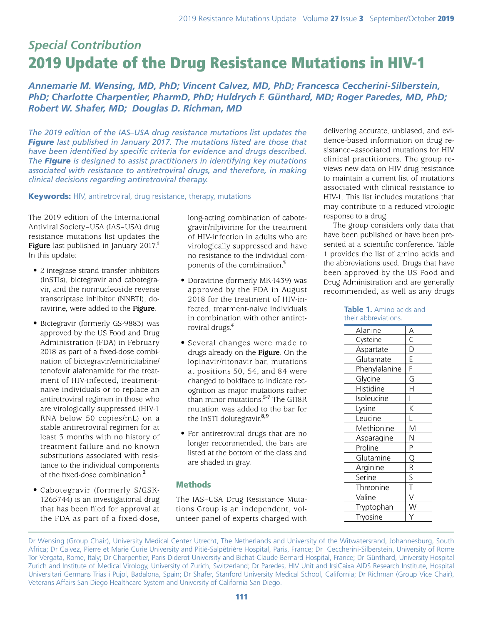# *Special Contribution* 2019 Update of the Drug Resistance Mutations in HIV-1

*Annemarie M. Wensing, MD, PhD; Vincent Calvez, MD, PhD; Francesca Ceccherini-Silberstein, PhD; Charlotte Charpentier, PharmD, PhD; Huldrych F. Günthard, MD; Roger Paredes, MD, PhD; Robert W. Shafer, MD; Douglas D. Richman, MD*

*The 2019 edition of the IAS–USA drug resistance mutations list updates the Figure last published in January 2017. The mutations listed are those that have been identified by specific criteria for evidence and drugs described. The Figure is designed to assist practitioners in identifying key mutations associated with resistance to antiretroviral drugs, and therefore, in making clinical decisions regarding antiretroviral therapy.*

**Keywords:** HIV, antiretroviral, drug resistance, therapy, mutations

The 2019 edition of the International Antiviral Society–USA (IAS–USA) drug resistance mutations list updates the **Figure** last published in January 2017.**<sup>1</sup>** In this update:

- 2 integrase strand transfer inhibitors (InSTIs), bictegravir and cabotegravir, and the nonnucleoside reverse transcriptase inhibitor (NNRTI), doravirine, were added to the **Figure**.
- Bictegravir (formerly GS-9883) was approved by the US Food and Drug Administration (FDA) in February 2018 as part of a fixed-dose combination of bictegravir/emtricitabine/ tenofovir alafenamide for the treatment of HIV-infected, treatmentnaive individuals or to replace an antiretroviral regimen in those who are virologically suppressed (HIV-1 RNA below 50 copies/mL) on a stable antiretroviral regimen for at least 3 months with no history of treatment failure and no known substitutions associated with resistance to the individual components of the fixed-dose combination.**<sup>2</sup>**
- Cabotegravir (formerly S/GSK-1265744) is an investigational drug that has been filed for approval at the FDA as part of a fixed-dose,

long-acting combination of cabotegravir/rilpivirine for the treatment of HIV-infection in adults who are virologically suppressed and have no resistance to the individual components of the combination.**<sup>3</sup>**

- Doravirine (formerly MK-1439) was approved by the FDA in August 2018 for the treatment of HIV-infected, treatment-naive individuals in combination with other antiretroviral drugs.**<sup>4</sup>**
- Several changes were made to drugs already on the **Figure**. On the lopinavir/ritonavir bar, mutations at positions 50, 54, and 84 were changed to boldface to indicate recognition as major mutations rather than minor mutations.**5-7** The G118R mutation was added to the bar for the InSTI dolutegravir.**8,9**
- For antiretroviral drugs that are no longer recommended, the bars are listed at the bottom of the class and are shaded in gray.

# Methods

The IAS–USA Drug Resistance Mutations Group is an independent, volunteer panel of experts charged with delivering accurate, unbiased, and evidence-based information on drug resistance–associated mutations for HIV clinical practitioners. The group reviews new data on HIV drug resistance to maintain a current list of mutations associated with clinical resistance to HIV-1. This list includes mutations that may contribute to a reduced virologic response to a drug.

The group considers only data that have been published or have been presented at a scientific conference. Table 1 provides the list of amino acids and the abbreviations used. Drugs that have been approved by the US Food and Drug Administration and are generally recommended, as well as any drugs

> **Table 1.** Amino acids and their abbreviations.

| Alanine       | A                           |
|---------------|-----------------------------|
| Cysteine      |                             |
| Aspartate     | $rac{C}{E}$ $E$             |
| Glutamate     |                             |
| Phenylalanine |                             |
| Glycine       | G                           |
| Histidine     | H                           |
| Isoleucine    |                             |
| Lysine        | $\overline{\rm K}$          |
| Leucine       |                             |
| Methionine    | $\overline{\mathsf{M}}$     |
| Asparagine    | N                           |
| Proline       | $\overline{P}$              |
| Glutamine     | $\overline{Q}$              |
| Arginine      | $\frac{R}{S}$ $\frac{S}{T}$ |
| Serine        |                             |
| Threonine     |                             |
| Valine        | V                           |
| Tryptophan    | $\overline{\mathsf{W}}$     |
| Tryosine      |                             |
|               |                             |

Dr Wensing (Group Chair), University Medical Center Utrecht, The Netherlands and University of the Witwatersrand, Johannesburg, South Africa; Dr Calvez, Pierre et Marie Curie University and Pitié-Salpêtrière Hospital, Paris, France; Dr Ceccherini-Silberstein, University of Rome Tor Vergata, Rome, Italy; Dr Charpentier, Paris Diderot University and Bichat-Claude Bernard Hospital, France; Dr Günthard, University Hospital Zurich and Institute of Medical Virology, University of Zurich, Switzerland; Dr Paredes, HIV Unit and IrsiCaixa AIDS Research Institute, Hospital Universitari Germans Trias i Pujol, Badalona, Spain; Dr Shafer, Stanford University Medical School, California; Dr Richman (Group Vice Chair), Veterans Affairs San Diego Healthcare System and University of California San Diego.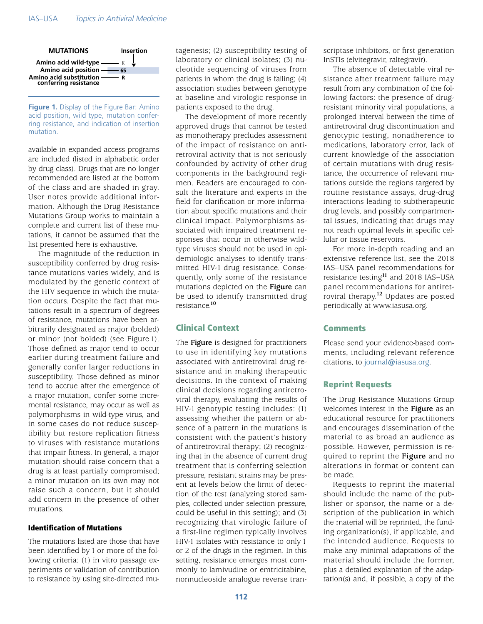

#### **Figure 1.** Display of the Figure Bar: Amino acid position, wild type, mutation conferring resistance, and indication of insertion mutation.

available in expanded access programs are included (listed in alphabetic order by drug class). Drugs that are no longer recommended are listed at the bottom of the class and are shaded in gray. User notes provide additional information. Although the Drug Resistance Mutations Group works to maintain a complete and current list of these mutations, it cannot be assumed that the list presented here is exhaustive.

The magnitude of the reduction in susceptibility conferred by drug resistance mutations varies widely, and is modulated by the genetic context of the HIV sequence in which the mutation occurs. Despite the fact that mutations result in a spectrum of degrees of resistance, mutations have been arbitrarily designated as major (bolded) or minor (not bolded) (see Figure 1). Those defined as major tend to occur earlier during treatment failure and generally confer larger reductions in susceptibility. Those defined as minor tend to accrue after the emergence of a major mutation, confer some incremental resistance, may occur as well as polymorphisms in wild-type virus, and in some cases do not reduce susceptibility but restore replication fitness to viruses with resistance mutations that impair fitness. In general, a major mutation should raise concern that a drug is at least partially compromised; a minor mutation on its own may not raise such a concern, but it should add concern in the presence of other mutations.

#### Identification of Mutations

The mutations listed are those that have been identified by 1 or more of the following criteria: (1) in vitro passage experiments or validation of contribution to resistance by using site-directed mutagenesis; (2) susceptibility testing of laboratory or clinical isolates; (3) nucleotide sequencing of viruses from patients in whom the drug is failing; (4) association studies between genotype at baseline and virologic response in patients exposed to the drug.

The development of more recently approved drugs that cannot be tested as monotherapy precludes assessment of the impact of resistance on antiretroviral activity that is not seriously confounded by activity of other drug components in the background regimen. Readers are encouraged to consult the literature and experts in the field for clarification or more information about specific mutations and their clinical impact. Polymorphisms associated with impaired treatment responses that occur in otherwise wildtype viruses should not be used in epidemiologic analyses to identify transmitted HIV-1 drug resistance. Consequently, only some of the resistance mutations depicted on the **Figure** can be used to identify transmitted drug resistance.**<sup>10</sup>**

# Clinical Context

The **Figure** is designed for practitioners to use in identifying key mutations associated with antiretroviral drug resistance and in making therapeutic decisions. In the context of making clinical decisions regarding antiretroviral therapy, evaluating the results of HIV-1 genotypic testing includes: (1) assessing whether the pattern or absence of a pattern in the mutations is consistent with the patient's history of antiretroviral therapy; (2) recognizing that in the absence of current drug treatment that is conferring selection pressure, resistant strains may be present at levels below the limit of detection of the test (analyzing stored samples, collected under selection pressure, could be useful in this setting); and (3) recognizing that virologic failure of a first-line regimen typically involves HIV-1 isolates with resistance to only 1 or 2 of the drugs in the regimen. In this setting, resistance emerges most commonly to lamivudine or emtricitabine, nonnucleoside analogue reverse transcriptase inhibitors, or first generation InSTIs (elvitegravir, raltegravir).

The absence of detectable viral resistance after treatment failure may result from any combination of the following factors: the presence of drugresistant minority viral populations, a prolonged interval between the time of antiretroviral drug discontinuation and genotypic testing, nonadherence to medications, laboratory error, lack of current knowledge of the association of certain mutations with drug resistance, the occurrence of relevant mutations outside the regions targeted by routine resistance assays, drug-drug interactions leading to subtherapeutic drug levels, and possibly compartmental issues, indicating that drugs may not reach optimal levels in specific cellular or tissue reservoirs.

For more in-depth reading and an extensive reference list, see the 2018 IAS–USA panel recommendations for resistance testing**<sup>11</sup>** and 2018 IAS–USA panel recommendations for antiretroviral therapy.**<sup>12</sup>** Updates are posted periodically at www.iasusa.org.

## **Comments**

Please send your evidence-based comments, including relevant reference citations, to [journal@iasusa.org](mailto:?subject=).

## Reprint Requests

The Drug Resistance Mutations Group welcomes interest in the **Figure** as an educational resource for practitioners and encourages dissemination of the material to as broad an audience as possible. However, permission is required to reprint the **Figure** and no alterations in format or content can be made.

Requests to reprint the material should include the name of the publisher or sponsor, the name or a description of the publication in which the material will be reprinted, the funding organization(s), if applicable, and the intended audience. Requests to make any minimal adaptations of the material should include the former, plus a detailed explanation of the adaptation(s) and, if possible, a copy of the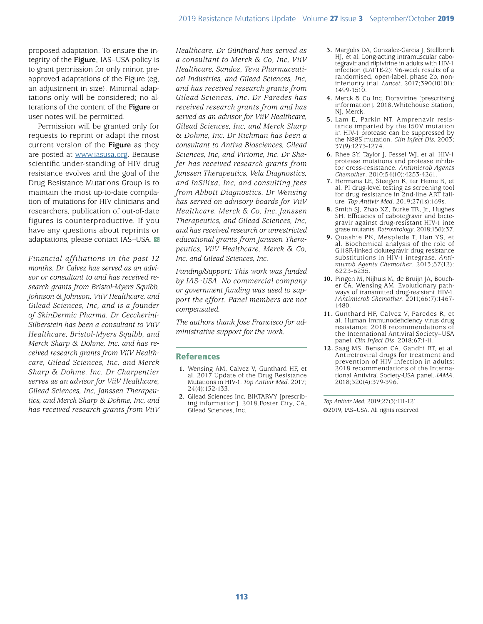proposed adaptation. To ensure the integrity of the **Figure**, IAS–USA policy is to grant permission for only minor, preapproved adaptations of the Figure (eg, an adjustment in size). Minimal adaptations only will be considered; no alterations of the content of the **Figure** or user notes will be permitted.

Permission will be granted only for requests to reprint or adapt the most current version of the **Figure** as they are posted at [www.iasusa.org](https://www.iasusa.org). Because scientific under-standing of HIV drug resistance evolves and the goal of the Drug Resistance Mutations Group is to maintain the most up-to-date compilation of mutations for HIV clinicians and researchers, publication of out-of-date figures is counterproductive. If you have any questions about reprints or adaptations, please contact IAS-USA.  $\blacksquare$ 

*Financial affiliations in the past 12 months: Dr Calvez has served as an advisor or consultant to and has received research grants from Bristol-Myers Squibb, Johnson & Johnson, ViiV Healthcare, and Gilead Sciences, Inc, and is a founder of SkinDermic Pharma. Dr Ceccherini-Silberstein has been a consultant to ViiV Healthcare, Bristol-Myers Squibb, and Merck Sharp & Dohme, Inc, and has received research grants from ViiV Healthcare, Gilead Sciences, Inc, and Merck Sharp & Dohme, Inc. Dr Charpentier serves as an advisor for ViiV Healthcare, Gilead Sciences, Inc, Janssen Therapeutics, and Merck Sharp & Dohme, Inc, and has received research grants from ViiV* 

*Healthcare. Dr Günthard has served as a consultant to Merck & Co, Inc, ViiV Healthcare, Sandoz, Teva Pharmaceutical Industries, and Gilead Sciences, Inc, and has received research grants from Gilead Sciences, Inc. Dr Paredes has received research grants from and has served as an advisor for ViiV Healthcare, Gilead Sciences, Inc, and Merck Sharp & Dohme, Inc. Dr Richman has been a consultant to Antiva Biosciences, Gilead Sciences, Inc, and Viriome, Inc. Dr Shafer has received research grants from Janssen Therapeutics, Vela Diagnostics, and InSilixa, Inc, and consulting fees from Abbott Diagnostics. Dr Wensing has served on advisory boards for ViiV Healthcare, Merck & Co, Inc, Janssen Therapeutics, and Gilead Sciences, Inc, and has received research or unrestricted educational grants from Janssen Therapeutics, ViiV Healthcare, Merck & Co, Inc, and Gilead Sciences, Inc.*

*Funding/Support: This work was funded by IAS–USA. No commercial company or government funding was used to support the effort. Panel members are not compensated.*

*The authors thank Jose Francisco for administrative support for the work.*

## References

- **1.** Wensing AM, Calvez V, Gunthard HF, et al. 2017 Update of the Drug Resistance Mutations in HIV-1. *Top Antivir Med.* 2017; 24(4):132-133.
- **2.** Gilead Sciences Inc. BIKTARVY [prescribing information]. 2018.Foster City, CA, Gilead Sciences, Inc.
- **3.** Margolis DA, Gonzalez-Garcia J, Stellbrink HJ, et al. Long-acting intramuscular cabotegravir and rilpivirine in adults with HIV-1 infection (LATTE-2): 96-week results of a randomised, open-label, phase 2b, noninferiority trial. *Lancet*. 2017;390(10101): 1499-1510.
- **4.** Merck & Co Inc. Doravirine [prescribing information]. 2018.Whitehouse Station, NJ, Merck.
- **5.** Lam E, Parkin NT. Amprenavir resistance imparted by the I50V mutation in HIV-1 protease can be suppressed by the N88S mutation. *Clin Infect Dis.* 2003; 37(9):1273-1274.
- **6.** Rhee SY, Taylor J, Fessel WJ, et al. HIV-1 protease mutations and protease inhibitor cross-resistance. *Antimicrob Agents Chemother*. 2010;54(10):4253-4261.
- **7.** Hermans LE, Steegen K, ter Heine R, et al. PI drug-level testing as screening tool for drug resistance in 2nd-line ART failure. *Top Antivir Med*. 2019;27(1s):169s.
- **8.** Smith SJ, Zhao XZ, Burke TR, Jr., Hughes SH. Efficacies of cabotegravir and bictegravir against drug-resistant HIV-1 inte grase mutants. *Retrovirology*. 2018;15(1):37.
- **9.** Quashie PK, Mesplede T, Han YS, et al. Biochemical analysis of the role of G118R-linked dolutegravir drug resistance substitutions in HIV-1 integrase. *Antimicrob Agents Chemother*. 2013;57(12): 6223-6235.
- **10.** Pingen M, Nijhuis M, de Bruijn JA, Boucher CA, Wensing AM. Evolutionary pathways of transmitted drug-resistant HIV-1. *J Antimicrob Chemother*. 2011;66(7):1467- 1480.
- **11.** Gunthard HF, Calvez V, Paredes R, et al. Human immunodeficiency virus drug resistance: 2018 recommendations of the International Antiviral Society–USA panel. *Clin Infect Dis*. 2018;67:1-11.
- **12.** Saag MS, Benson CA, Gandhi RT, et al. Antiretroviral drugs for treatment and prevention of HIV infection in adults: 2018 recommendations of the International Antiviral Society-USA panel. *JAMA*. 2018;320(4):379-396.

*Top Antivir Med.* 2019;27(3):111-121. ©2019, IAS–USA. All rights reserved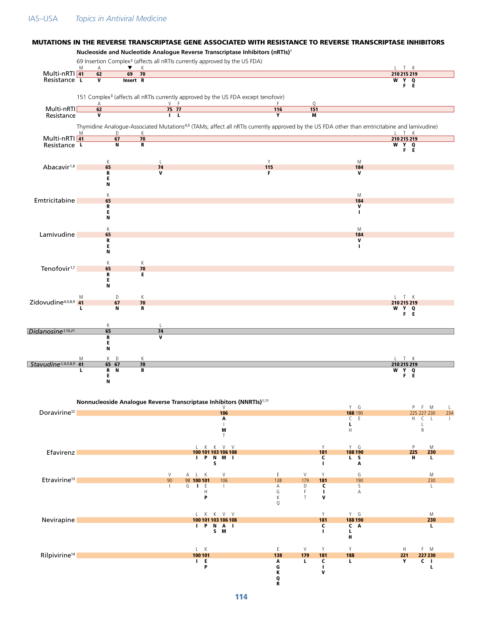#### IAS–USA *Topics in Antiviral Medicine*

#### MUTATIONS IN THE REVERSE TRANSCRIPTASE GENE ASSOCIATED WITH RESISTANCE TO REVERSE TRANSCRIPTASE INHIBITORS

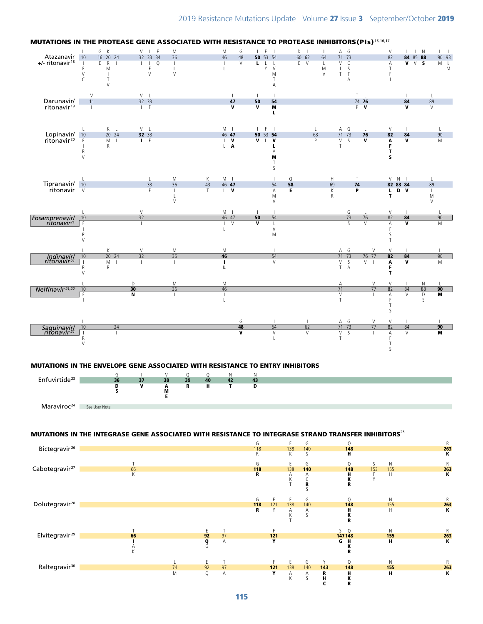

# MUTATIONS IN THE PROTEASE GENE ASSOCIATED WITH RESISTANCE TO PROTEASE INHIBITORS(PIs)15,16,17

 $\begin{array}{ccccccc}\n\text{Enfuvirtide}^{\text{23}} & \text{36} & \text{37} & \text{38} & \text{39} & \text{40} & \text{42} & \text{43} \\
\text{D} & \text{V} & \text{A} & \text{R} & \text{H} & \text{T} & \text{D} \\
\text{S} & \text{M} & \text{M} & \text{M} & \text{T} & \text{D}\n\end{array}$ D V A R H T D

Maraviroc<sup>24</sup> See User Note

# MUTATIONS IN THE INTEGRASE GENE ASSOCIATED WITH RESISTANCE TO INTEGRASE STRAND TRANSFER INHIBITORS<sup>25</sup>

 $\overline{M}$ E

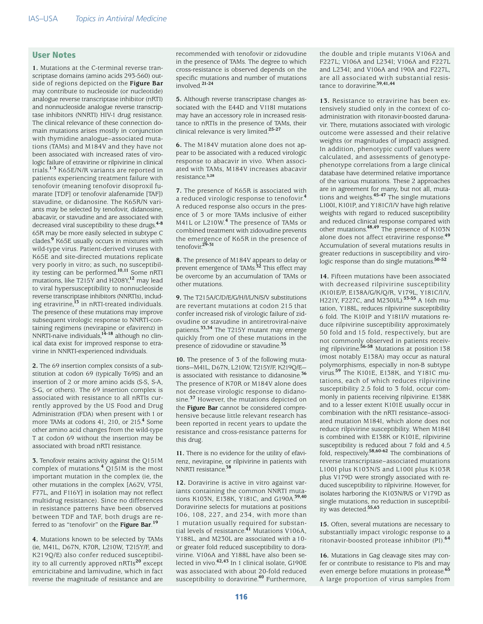## User Notes

**1.** Mutations at the C-terminal reverse transcriptase domains (amino acids 293-560) outside of regions depicted on the **Figure Bar** may contribute to nucleoside (or nucleotide) analogue reverse transcriptase inhibitor (nRTI) and nonnucleoside analogue reverse transcriptase inhibitors (NNRTI) HIV-1 drug resistance. The clinical relevance of these connection domain mutations arises mostly in conjunction with thymidine analogue–associated mutations (TAMs) and M184V and they have not been associated with increased rates of virologic failure of etravirine or rilpivirine in clinical trials.**1-3** K65E/N/R variants are reported in patients experiencing treatment failure with tenofovir (meaning tenofovir disoproxil fumarate [TDF] or tenofovir alafenamide [TAF]) stavudine, or didanosine. The K65R/N variants may be selected by tenofovir, didanosine, abacavir, or stavudine and are associated with decreased viral susceptibility to these drugs.**4-8** 65R may be more easily selected in subtype C clades.**<sup>9</sup>** K65E usually occurs in mixtures with wild-type virus. Patient-derived viruses with K65E and site-directed mutations replicate very poorly in vitro; as such, no susceptibility testing can be performed.**10,11** Some nRTI mutations, like T215Y and H208Y,**12** may lead to viral hypersusceptibility to nonnucleoside reverse transcriptase inhibitors (NNRTIs), including etravirine,**13** in nRTI-treated individuals. The presence of these mutations may improve subsequent virologic response to NNRTI-containing regimens (nevirapine or efavirenz) in NNRTI-naive individuals,**14-18** although no clinical data exist for improved response to etravirine in NNRTI-experienced individuals.

**2.** The 69 insertion complex consists of a substitution at codon 69 (typically T69S) and an insertion of 2 or more amino acids (S-S, S-A, S-G, or others). The 69 insertion complex is associated with resistance to all nRTIs currently approved by the US Food and Drug Administration (FDA) when present with 1 or more TAMs at codons 41, 210, or 215.**<sup>4</sup>** Some other amino acid changes from the wild-type T at codon 69 without the insertion may be associated with broad nRTI resistance.

**3.** Tenofovir retains activity against the Q151M complex of mutations.**4** Q151M is the most important mutation in the complex (ie, the other mutations in the complex [A62V, V75I, F77L, and F116Y] in isolation may not reflect multidrug resistance). Since no differences in resistance patterns have been observed between TDF and TAF, both drugs are referred to as "tenofovir" on the **Figure Bar**. **19**

**4.** Mutations known to be selected by TAMs (ie, M41L, D67N, K70R, L210W, T215Y/F, and K219Q/E) also confer reduced susceptibility to all currently approved nRTIs**20** except emtricitabine and lamivudine, which in fact reverse the magnitude of resistance and are recommended with tenofovir or zidovudine in the presence of TAMs. The degree to which cross-resistance is observed depends on the specific mutations and number of mutations involved.**21-24**

**5.** Although reverse transcriptase changes associated with the E44D and V118I mutations may have an accessory role in increased resistance to nRTIs in the presence of TAMs, their clinical relevance is very limited.**25-27**

**6.** The M184V mutation alone does not appear to be associated with a reduced virologic response to abacavir in vivo. When associated with TAMs, M184V increases abacavir resistance.**5,28**

**7.** The presence of K65R is associated with a reduced virologic response to tenofovir.**<sup>4</sup>** A reduced response also occurs in the presence of 3 or more TAMs inclusive of either M41L or L210W.**4** The presence of TAMs or combined treatment with zidovudine prevents the emergence of K65R in the presence of tenofovir.**29-31**

**8.** The presence of M184V appears to delay or prevent emergence of TAMs.**32** This effect may be overcome by an accumulation of TAMs or other mutations.

**9.** The T215A/C/D/E/G/H/I/L/N/S/V substitutions are revertant mutations at codon 215 that confer increased risk of virologic failure of zidovudine or stavudine in antiretroviral-naive patients.**33,34** The T215Y mutant may emerge quickly from one of these mutations in the presence of zidovudine or stavudine.**<sup>35</sup>**

**10.** The presence of 3 of the following mutations—M41L, D67N, L210W, T215Y/F, K219Q/E is associated with resistance to didanosine.**<sup>36</sup>** The presence of K70R or M184V alone does not decrease virologic response to didanosine.**37** However, the mutations depicted on the **Figure Bar** cannot be considered comprehensive because little relevant research has been reported in recent years to update the resistance and cross-resistance patterns for this drug.

**11.** There is no evidence for the utility of efavirenz, nevirapine, or rilpivirine in patients with NNRTI resistance.**<sup>38</sup>**

**12.** Doravirine is active in vitro against variants containing the common NNRTI mutations K103N, E138K, Y181C, and G190A.**39,40**  Doravirine selects for mutations at positions 106, 108, 227, and 234, with more than 1 mutation usually required for substantial levels of resistance.**41** Mutations V106A, Y188L, and M230L are associated with a 10 or greater fold reduced susceptibility to doravirine. V106A and Y188L have also been selected in vivo.**42,43** In 1 clinical isolate, G190E was associated with about 20-fold reduced susceptibility to doravirine.**40** Furthermore,

the double and triple mutants V106A and F227L; V106A and L234I; V106A and F227L and L234I; and V106A and 190A and F227L, are all associated with substantial resistance to doravirine.**39,41,44**

**13.** Resistance to etravirine has been extensively studied only in the context of coadministration with ritonavir-boosted darunavir. There, mutations associated with virologic outcome were assessed and their relative weights (or magnitudes of impact) assigned. In addition, phenotypic cutoff values were calculated, and assessments of genotypephenotype correlations from a large clinical database have determined relative importance of the various mutations. These 2 approaches are in agreement for many, but not all, mutations and weights.**45-47** The single mutations L100I, K101P, and Y181C/I/V have high relative weights with regard to reduced susceptibility and reduced clinical response compared with other mutations.**48,49** The presence of K103N alone does not affect etravirine response.**<sup>49</sup>** Accumulation of several mutations results in greater reductions in susceptibility and virologic response than do single mutations.**50-52**

**14.** Fifteen mutations have been associated with decreased rilpivirine susceptibility (K101E/P, E138A/G/K/Q/R, V179L, Y181C/I/V, H221Y, F227C, and M230I/L).**53-55** A 16th mutation, Y188L, reduces rilpivirine susceptibility 6 fold. The K101P and Y181I/V mutations reduce rilpivirine susceptibility approximately 50 fold and 15 fold, respectively, but are not commonly observed in patients receiving rilpivirine.**56-58** Mutations at position 138 (most notably E138A) may occur as natural polymorphisms, especially in non-B subtype virus.**59** The K101E, E138K, and Y181C mutations, each of which reduces rilpivirine susceptibility 2.5 fold to 3 fold, occur commonly in patients receiving rilpivirine. E138K and to a lesser extent K101E usually occur in combination with the nRTI resistance–associated mutation M184I, which alone does not reduce rilpivirine susceptibility. When M184I is combined with E138K or K101E, rilpivirine susceptibility is reduced about 7 fold and 4.5 fold, respectively.**58,60-62** The combinations of reverse transcriptase–associated mutations L100I plus K103N/S and L100I plus K103R plus V179D were strongly associated with reduced susceptibility to rilpivirine. However, for isolates harboring the K103N/R/S or V179D as single mutations, no reduction in susceptibility was detected.**55,63**

**15.** Often, several mutations are necessary to substantially impact virologic response to a ritonavir-boosted protease inhibitor (PI).**<sup>64</sup>**

**16.** Mutations in Gag cleavage sites may confer or contribute to resistance to PIs and may even emerge before mutations in protease.**<sup>65</sup>** A large proportion of virus samples from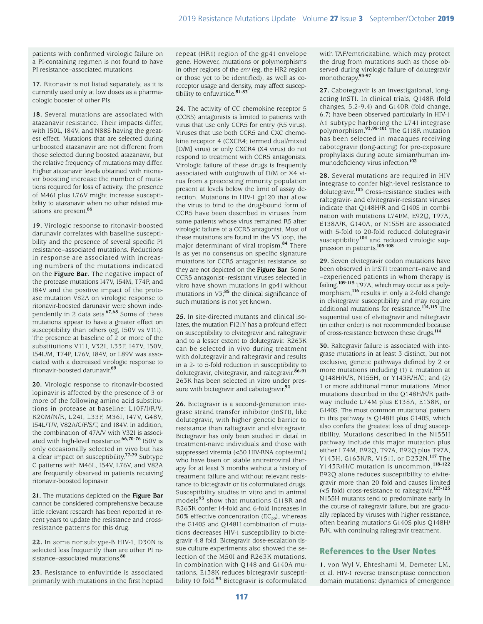patients with confirmed virologic failure on a PI-containing regimen is not found to have PI resistance–associated mutations.

**17.** Ritonavir is not listed separately, as it is currently used only at low doses as a pharmacologic booster of other PIs.

**18.** Several mutations are associated with atazanavir resistance. Their impacts differ, with I50L, I84V, and N88S having the greatest effect. Mutations that are selected during unboosted atazanavir are not different from those selected during boosted atazanavir, but the relative frequency of mutations may differ. Higher atazanavir levels obtained with ritonavir boosting increase the number of mutations required for loss of activity. The presence of M46I plus L76V might increase susceptibility to atazanavir when no other related mutations are present.**<sup>66</sup>**

**19.** Virologic response to ritonavir-boosted darunavir correlates with baseline susceptibility and the presence of several specific PI resistance–associated mutations. Reductions in response are associated with increasing numbers of the mutations indicated on the **Figure Bar**. The negative impact of the protease mutations I47V, I54M, T74P, and I84V and the positive impact of the protease mutation V82A on virologic response to ritonavir-boosted darunavir were shown independently in 2 data sets.**67,68** Some of these mutations appear to have a greater effect on susceptibility than others (eg, I50V vs V11I). The presence at baseline of 2 or more of the substitutions V11I, V32I, L33F, I47V, I50V, I54L/M, T74P, L76V, I84V, or L89V was associated with a decreased virologic response to ritonavir-boosted darunavir.**<sup>69</sup>**

**20.** Virologic response to ritonavir-boosted lopinavir is affected by the presence of 3 or more of the following amino acid substitutions in protease at baseline: L10F/I/R/V, K20M/N/R, L24I, L33F, M36I, I47V, G48V, I54L/T/V, V82A/C/F/S/T, and I84V. In addition, the combination of 47A/V with V32I is associated with high-level resistance.**66,70-76** I50V is only occasionally selected in vivo but has a clear impact on susceptibility.**77-79** Subtype C patterns with M46L, I54V, L76V, and V82A are frequently observed in patients receiving ritonavir-boosted lopinavir.

**21.** The mutations depicted on the **Figure Bar** cannot be considered comprehensive because little relevant research has been reported in recent years to update the resistance and crossresistance patterns for this drug.

**22.** In some nonsubtype-B HIV-1, D30N is selected less frequently than are other PI resistance–associated mutations.**<sup>80</sup>**

**23.** Resistance to enfuvirtide is associated primarily with mutations in the first heptad repeat (HR1) region of the gp41 envelope gene. However, mutations or polymorphisms in other regions of the *env* (eg, the HR2 region or those yet to be identified), as well as coreceptor usage and density, may affect susceptibility to enfuvirtide.**81-83**

**24.** The activity of CC chemokine receptor 5 (CCR5) antagonists is limited to patients with virus that use only CCR5 for entry (R5 virus). Viruses that use both CCR5 and CXC chemokine receptor 4 (CXCR4; termed dual/mixed [D/M] virus) or only CXCR4 (X4 virus) do not respond to treatment with CCR5 antagonists. Virologic failure of these drugs is frequently associated with outgrowth of D/M or X4 virus from a preexisting minority population present at levels below the limit of assay detection. Mutations in HIV-1 gp120 that allow the virus to bind to the drug-bound form of CCR5 have been described in viruses from some patients whose virus remained R5 after virologic failure of a CCR5 antagonist. Most of these mutations are found in the V3 loop, the major determinant of viral tropism.**84** There is as yet no consensus on specific signature mutations for CCR5 antagonist resistance, so they are not depicted on the **Figure Bar**. Some CCR5 antagonist–resistant viruses selected in vitro have shown mutations in gp41 without mutations in V3;**85** the clinical significance of such mutations is not yet known.

**25.** In site-directed mutants and clinical isolates, the mutation F121Y has a profound effect on susceptibility to elvitegravir and raltegravir and to a lesser extent to dolutegravir. R263K can be selected in vivo during treatment with dolutegravir and raltegravir and results in a 2- to 5-fold reduction in susceptibility to dolutegravir, elvitegravir, and raltegravir.**86-91** 263K has been selected in vitro under pressure with bictegravir and cabotegravir.**<sup>92</sup>**

**26.** Bictegravir is a second-generation integrase strand transfer inhibitor (InSTI), like dolutegravir, with higher genetic barrier to resistance than raltegravir and elvitegravir. Bictegravir has only been studied in detail in treatment-naive individuals and those with suppressed viremia (<50 HIV-RNA copies/mL) who have been on stable antiretroviral therapy for at least 3 months without a history of treatment failure and without relevant resistance to bictegravir or its coformulated drugs. Susceptibility studies in vitro and in animal models**93** show that mutations G118R and R263K confer 14-fold and 6-fold increases in 50% effective concentration ( $EC_{50}$ ), whereas the G140S and Q148H combination of mutations decreases HIV-1 susceptibility to bictegravir 4.8 fold. Bictegravir dose-escalation tissue culture experiments also showed the selection of the M50I and R263K mutations. In combination with Q148 and G140A mutations, E138K reduces bictegravir susceptibility 10 fold.**94** Bictegravir is coformulated with TAF/emtricitabine, which may protect the drug from mutations such as those observed during virologic failure of dolutegravir monotherapy.**93-97**

**27.** Cabotegravir is an investigational, longacting InSTI. In clinical trials, Q148R (fold changes, 5.2-9.4) and G140R (fold change, 6.7) have been observed particularly in HIV-1 A1 subtype harboring the L74I integrase polymorphism.**93,98-101** The G118R mutation has been selected in macaques receiving cabotegravir (long-acting) for pre-exposure prophylaxis during acute simian/human immunodeficiency virus infection.**<sup>102</sup>**

**28.** Several mutations are required in HIV integrase to confer high-level resistance to dolutegravir.**103** Cross-resistance studies with raltegravir- and elvitegravir-resistant viruses indicate that Q148H/R and G140S in combination with mutations L74I/M, E92Q, T97A, E138A/K, G140A, or N155H are associated with 5-fold to 20-fold reduced dolutegravir susceptibility**104** and reduced virologic suppression in patients.**105-108** 

**29.** Seven elvitegravir codon mutations have been observed in InSTI treatment–naive and –experienced patients in whom therapy is failing.**109-115** T97A, which may occur as a polymorphism,**116** results in only a 2-fold change in elvitegravir susceptibility and may require additional mutations for resistance.**114,115** The sequential use of elvitegravir and raltegravir (in either order) is not recommended because of cross-resistance between these drugs.**<sup>114</sup>**

**30.** Raltegravir failure is associated with integrase mutations in at least 3 distinct, but not exclusive, genetic pathways defined by 2 or more mutations including (1) a mutation at Q148H/K/R, N155H, or Y143R/H/C; and (2) 1 or more additional minor mutations. Minor mutations described in the Q148H/K/R pathway include L74M plus E138A, E138K, or G140S. The most common mutational pattern in this pathway is Q148H plus G140S, which also confers the greatest loss of drug susceptibility. Mutations described in the N155H pathway include this major mutation plus either L74M, E92Q, T97A, E92Q plus T97A, Y143H, G163K/R, V151I, or D232N.**117** The Y143R/H/C mutation is uncommon.**118-122**  E92Q alone reduces susceptibility to elvitegravir more than 20 fold and causes limited (<5 fold) cross-resistance to raltegravir.**123-125** N155H mutants tend to predominate early in the course of raltegravir failure, but are gradually replaced by viruses with higher resistance, often bearing mutations G140S plus Q148H/ R/K, with continuing raltegravir treatment.

# References to the User Notes

**1.** von Wyl V, Ehteshami M, Demeter LM, et al. HIV-1 reverse transcriptase connection domain mutations: dynamics of emergence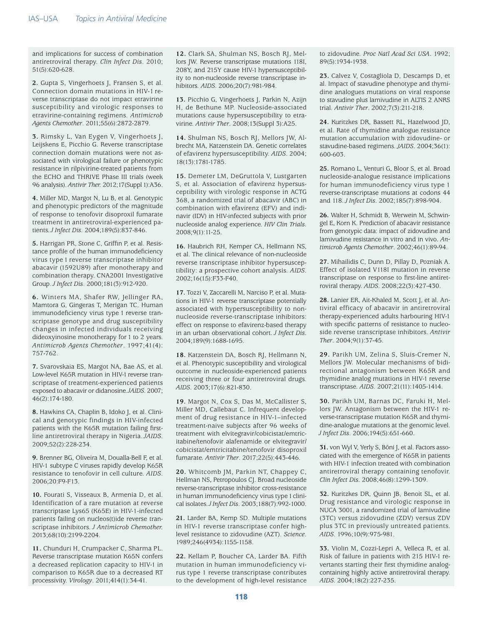and implications for success of combination antiretroviral therapy. *Clin Infect Dis*. 2010; 51(5):620-628.

**2.** Gupta S, Vingerhoets J, Fransen S, et al. Connection domain mutations in HIV-1 reverse transcriptase do not impact etravirine susceptibility and virologic responses to etravirine-containing regimens. *Antimicrob Agents Chemother*. 2011;55(6):2872-2879.

**3.** Rimsky L, Van Eygen V, Vingerhoets J, Leijskens E, Picchio G. Reverse transcriptase connection domain mutations were not associated with virological failure or phenotypic resistance in rilpivirine-treated patients from the ECHO and THRIVE Phase III trials (week 96 analysis). *Antivir Ther.* 2012;17(Suppl 1):A36.

**4.** Miller MD, Margot N, Lu B, et al. Genotypic and phenotypic predictors of the magnitude of response to tenofovir disoproxil fumarate treatment in antiretroviral-experienced patients. *<sup>J</sup> Infect Dis*. 2004;189(5):837-846.

**5.** Harrigan PR, Stone C, Griffin P, et al. Resistance profile of the human immunodeficiency virus type 1 reverse transcriptase inhibitor abacavir (1592U89) after monotherapy and combination therapy. CNA2001 Investigative Group. *J Infect Dis*. 2000;181(3):912-920.

**6.** Winters MA, Shafer RW, Jellinger RA, Mamtora G, Gingeras T, Merigan TC. Human immunodeficiency virus type 1 reverse transcriptase genotype and drug susceptibility changes in infected individuals receiving dideoxyinosine monotherapy for 1 to 2 years. *Antimicrob Agents Chemother*. 1997;41(4): 757-762.

**7.** Svarovskaia ES, Margot NA, Bae AS, et al. Low-level K65R mutation in HIV-1 reverse transcriptase of treatment-experienced patients exposed to abacavir or didanosine. *JAIDS*. 2007; 46(2):174-180.

**8.** Hawkins CA, Chaplin B, Idoko J, et al. Clinical and genotypic findings in HIV-infected patients with the K65R mutation failing firstline antiretroviral therapy in Nigeria. *JAIDS.* 2009;52(2):228-234.

**9.** Brenner BG, Oliveira M, Doualla-Bell F, et al. HIV-1 subtype C viruses rapidly develop K65R resistance to tenofovir in cell culture. *AIDS*. 2006;20:F9-F13.

**10.** Fourati S, Visseaux B, Armenia D, et al. Identification of a rare mutation at reverse transcriptase Lys65 (K65E) in HIV-1-infected patients failing on nucleos(t)ide reverse transcriptase inhibitors. *J Antimicrob Chemother.*  2013;68(10):2199-2204.

**11.** Chunduri H, Crumpacker C, Sharma PL. Reverse transcriptase mutation K65N confers a decreased replication capacity to HIV-1 in comparison to K65R due to a decreased RT processivity. *Virology*. 2011;414(1):34-41.

**12.** Clark SA, Shulman NS, Bosch RJ, Mellors JW. Reverse transcriptase mutations 118I, 208Y, and 215Y cause HIV-1 hypersusceptibility to non-nucleoside reverse transcriptase inhibitors. *AIDS*. 2006;20(7):981-984.

**13.** Picchio G, Vingerhoets J, Parkin N, Azijn H, de Bethune MP. Nucleoside-associated mutations cause hypersusceptibility to etravirine. *Antivir Ther*. 2008;13(Suppl 3):A25.

**14.** Shulman NS, Bosch RJ, Mellors JW, Albrecht MA, Katzenstein DA. Genetic correlates of efavirenz hypersusceptibility. *AIDS*. 2004; 18(13):1781-1785.

**15.** Demeter LM, DeGruttola V, Lustgarten S, et al. Association of efavirenz hypersusceptibility with virologic response in ACTG 368, a randomized trial of abacavir (ABC) in combination with efavirenz (EFV) and indinavir (IDV) in HIV-infected subjects with prior nucleoside analog experience. *HIV Clin Trials*. 2008;9(1):11-25.

**16.** Haubrich RH, Kemper CA, Hellmann NS, et al. The clinical relevance of non-nucleoside reverse transcriptase inhibitor hypersusceptibility: a prospective cohort analysis. *AIDS*. 2002;16(15):F33-F40.

**17.** Tozzi V, Zaccarelli M, Narciso P, et al. Mutations in HIV-1 reverse transcriptase potentially associated with hypersusceptibility to nonnucleoside reverse-transcriptase inhibitors: effect on response to efavirenz-based therapy in an urban observational cohort. *J Infect Dis*. 2004;189(9):1688-1695.

**18.** Katzenstein DA, Bosch RJ, Hellmann N, et al. Phenotypic susceptibility and virological outcome in nucleoside-experienced patients receiving three or four antiretroviral drugs. *AIDS*. 2003;17(6):821-830.

**19.** Margot N, Cox S, Das M, McCallister S, Miller MD, Callebaut C. Infrequent development of drug resistance in HIV-1–infected treatment-naive subjects after 96 weeks of treatment with elvitegravir/cobicistat/emtricitabine/tenofovir alafenamide or elvitegravir/ cobicistat/emtricitabine/tenofovir disoproxil fumarate. *Antivir Ther*. 2017;22(5):443-446.

**20.** Whitcomb JM, Parkin NT, Chappey C, Hellman NS, Petropoulos CJ. Broad nucleoside reverse-transcriptase inhibitor cross-resistance in human immunodeficiency virus type 1 clinical isolates. *<sup>J</sup> Infect Dis*. 2003;188(7):992-1000.

**21.** Larder BA, Kemp SD. Multiple mutations in HIV-1 reverse transcriptase confer highlevel resistance to zidovudine (AZT). *Science*. 1989;246(4934):1155-1158.

**22.** Kellam P, Boucher CA, Larder BA. Fifth mutation in human immunodeficiency virus type 1 reverse transcriptase contributes to the development of high-level resistance to zidovudine. *Proc Natl Acad Sci USA*. 1992; 89(5):1934-1938.

**23.** Calvez V, Costagliola D, Descamps D, et al. Impact of stavudine phenotype and thymidine analogues mutations on viral response to stavudine plus lamivudine in ALTIS 2 ANRS trial. *Antivir Ther*. 2002;7(3):211-218.

**24.** Kuritzkes DR, Bassett RL, Hazelwood JD, et al. Rate of thymidine analogue resistance mutation accumulation with zidovudine- or stavudine-based regimens. *<sup>J</sup> AIDS*. 2004;36(1): 600-603.

**25.** Romano L, Venturi G, Bloor S, et al. Broad nucleoside-analogue resistance implications for human immunodeficiency virus type 1 reverse-transcriptase mutations at codons 44 and 118. *J Infect Dis*. 2002;185(7):898-904.

**26.** Walter H, Schmidt B, Werwein M, Schwingel E, Korn K. Prediction of abacavir resistance from genotypic data: impact of zidovudine and lamivudine resistance in vitro and in vivo. *Antimicrob Agents Chemother*. 2002;46(1):89-94.

**27.** Mihailidis C, Dunn D, Pillay D, Pozniak A. Effect of isolated V118I mutation in reverse transcriptase on response to first-line antiretroviral therapy. *AIDS*. 2008;22(3):427-430.

**28.** Lanier ER, Ait-Khaled M, Scott J, et al. Antiviral efficacy of abacavir in antiretroviral therapy-experienced adults harbouring HIV-1 with specific patterns of resistance to nucleoside reverse transcriptase inhibitors. *Antivir Ther*. 2004;9(1):37-45.

**29.** Parikh UM, Zelina S, Sluis-Cremer N, Mellors JW. Molecular mechanisms of bidirectional antagonism between K65R and thymidine analog mutations in HIV-1 reverse transcriptase. *AIDS*. 2007;21(11):1405-1414.

**30.** Parikh UM, Barnas DC, Faruki H, Mellors JW. Antagonism between the HIV-1 reverse-transcriptase mutation K65R and thymidine-analogue mutations at the genomic level. *<sup>J</sup> Infect Dis*. 2006;194(5):651-660.

**31.** von Wyl V, Yerly S, Böni J, et al. Factors associated with the emergence of K65R in patients with HIV-1 infection treated with combination antiretroviral therapy containing tenofovir. *Clin Infect Dis*. 2008;46(8):1299-1309.

**32.** Kuritzkes DR, Quinn JB, Benoit SL, et al. Drug resistance and virologic response in NUCA 3001, a randomized trial of lamivudine (3TC) versus zidovudine (ZDV) versus ZDV plus 3TC in previously untreated patients. *AIDS*. 1996;10(9):975-981.

**33.** Violin M, Cozzi-Lepri A, Velleca R, et al. Risk of failure in patients with 215 HIV-1 revertants starting their first thymidine analogcontaining highly active antiretroviral therapy. *AIDS*. 2004;18(2):227-235.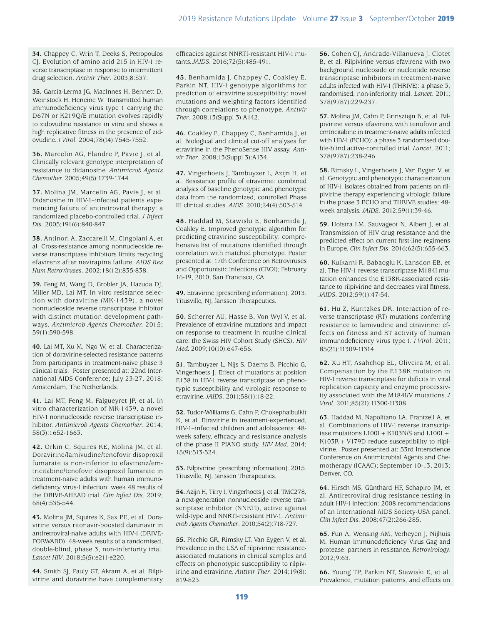**34.** Chappey C, Wrin T, Deeks S, Petropoulos CJ. Evolution of amino acid 215 in HIV-1 reverse transcriptase in response to intermittent drug selection. *Antivir Ther*. 2003;8:S37.

**35.** Garcia-Lerma JG, MacInnes H, Bennett D, Weinstock H, Heneine W. Transmitted human immunodeficiency virus type 1 carrying the D67N or K219Q/E mutation evolves rapidly to zidovudine resistance in vitro and shows a high replicative fitness in the presence of zidovudine. *<sup>J</sup> Virol*. 2004;78(14):7545-7552.

**36.** Marcelin AG, Flandre P, Pavie J, et al. Clinically relevant genotype interpretation of resistance to didanosine. *Antimicrob Agents Chemother.* 2005;49(5):1739-1744.

**37.** Molina JM, Marcelin AG, Pavie J, et al. Didanosine in HIV-1–infected patients experiencing failure of antiretroviral therapy: a randomized placebo-controlled trial. *J Infect Dis*. 2005;191(6):840-847.

**38.** Antinori A, Zaccarelli M, Cingolani A, et al. Cross-resistance among nonnucleoside reverse transcriptase inhibitors limits recycling efavirenz after nevirapine failure. *AIDS Res Hum Retroviruses*. 2002;18(12):835-838.

**39.** Feng M, Wang D, Grobler JA, Hazuda DJ, Miller MD, Lai MT. In vitro resistance selection with doravirine (MK-1439), a novel nonnucleoside reverse transcriptase inhibitor with distinct mutation development pathways. *Antimicrob Agents Chemother.* 2015; 59(1):590-598.

**40.** Lai MT, Xu M, Ngo W, et al. Characterization of doravirine-selected resistance patterns from participants in treatment-naive phase 3 clinical trials. Poster presented at: 22nd International AIDS Conference; July 23-27, 2018; Amsterdam, The Netherlands.

**41.** Lai MT, Feng M, Falgueyret JP, et al. In vitro characterization of MK-1439, a novel HIV-1 nonnucleoside reverse transcriptase inhibitor. *Antimicrob Agents Chemother*. 2014; 58(3):1652-1663.

**42.** Orkin C, Squires KE, Molina JM, et al. Doravirine/lamivudine/tenofovir disoproxil fumarate is non-inferior to efavirenz/emtricitabine/tenofovir disoproxil fumarate in treatment-naive adults with human immunodeficiency virus-1 infection: week 48 results of the DRIVE-AHEAD trial. *Clin Infect Dis*. 2019; 68(4):535-544.

**43.** Molina JM, Squires K, Sax PE, et al. Doravirine versus ritonavir-boosted darunavir in antiretroviral-naive adults with HIV-1 (DRIVE-FORWARD): 48-week results of a randomised, double-blind, phase 3, non-inferiority trial. *Lancet HIV*. 2018;5(5):e211-e220.

**44.** Smith SJ, Pauly GT, Akram A, et al. Rilpivirine and doravirine have complementary efficacies against NNRTI-resistant HIV-1 mutants. *<sup>J</sup> AIDS*. 2016;72(5):485-491.

**45.** Benhamida J, Chappey C, Coakley E, Parkin NT. HIV-1 genotype algorithms for prediction of etravirine susceptibility: novel mutations and weighting factors identified through correlations to phenotype. *Antivir Ther*. 2008;13(Suppl 3):A142.

**46.** Coakley E, Chappey C, Benhamida J, et al. Biological and clinical cut-off analyses for etravirine in the PhenoSense HIV assay. *Antivir Ther*. 2008;13(Suppl 3):A134.

**47.** Vingerhoets J, Tambuyzer L, Azijn H, et al. Resistance profile of etravirine: combined analysis of baseline genotypic and phenotypic data from the randomized, controlled Phase III clinical studies. *AIDS*. 2010;24(4):503-514.

**48.** Haddad M, Stawiski E, Benhamida J, Coakley E. Improved genotypic algorithm for predicting etravirine susceptibility: comprehensive list of mutations identified through correlation with matched phenotype. Poster presented at: 17th Conference on Retroviruses and Opportunistic Infections (CROI); February 16-19, 2010; San Francisco, CA.

**49.** Etravirine [prescribing information]. 2013. Titusville, NJ, <sup>J</sup> anssen Therapeutics.

**50.** Scherrer AU, Hasse B, Von Wyl V, et al. Prevalence of etravirine mutations and impact on response to treatment in routine clinical care: the Swiss HIV Cohort Study (SHCS). *HIV Med.* 2009;10(10):647-656.

**51.** Tambuyzer L, Nijs S, Daems B, Picchio G, Vingerhoets J. Effect of mutations at position E138 in HIV-1 reverse transcriptase on phenotypic susceptibility and virologic response to etravirine. *<sup>J</sup> AIDS*. 2011;58(1):18-22.

**52.** Tudor-Williams G, Cahn P, Chokephaibulkit K, et al. Etravirine in treatment-experienced, HIV-1–infected children and adolescents: 48 week safety, efficacy and resistance analysis of the phase II PIANO study. *HIV Med*. 2014; 15(9):513-524.

**53.** Rilpivirine [prescribing information]. 2015. Titusville, NJ, <sup>J</sup> anssen Therapeutics.

**54.** Azijn H, Tirry I, Vingerhoets J, et al. TMC278, a next-generation nonnucleoside reverse transcriptase inhibitor (NNRTI), active against wild-type and NNRTI-resistant HIV-1. *Antimicrob Agents Chemother*. 2010;54(2):718-727.

**55.** Picchio GR, Rimsky LT, Van Eygen V, et al. Prevalence in the USA of rilpivirine resistanceassociated mutations in clinical samples and effects on phenotypic susceptibility to rilpivirine and etravirine. *Antivir Ther*. 2014;19(8): 819-823.

**56.** Cohen CJ, Andrade-Villanueva J, Clotet B, et al. Rilpivirine versus efavirenz with two background nucleoside or nucleotide reverse transcriptase inhibitors in treatment-naive adults infected with HIV-1 (THRIVE): a phase 3, randomised, non-inferiority trial. *Lancet*. 2011; 378(9787):229-237.

**57.** Molina JM, Cahn P, Grinsztejn B, et al. Rilpivirine versus efavirenz with tenofovir and emtricitabine in treatment-naive adults infected with HIV-1 (ECHO): a phase 3 randomised double-blind active-controlled trial. *Lancet*. 2011; 378(9787):238-246.

**58.** Rimsky L, Vingerhoets J, Van Eygen V, et al. Genotypic and phenotypic characterization of HIV-1 isolates obtained from patients on rilpivirine therapy experiencing virologic failure in the phase 3 ECHO and THRIVE studies: 48 week analysis. *<sup>J</sup> AIDS*. 2012;59(1):39-46.

**59.** Hofstra LM, Sauvageot N, Albert J, et al. Transmission of HIV drug resistance and the predicted effect on current first-line regimens in Europe. *Clin Infect Dis*. 2016;62(5):655-663.

**60.** Kulkarni R, Babaoglu K, Lansdon EB, et al. The HIV-1 reverse transcriptase M184I mutation enhances the E138K-associated resistance to rilpivirine and decreases viral fitness. *J AIDS*. 2012;59(1):47-54.

**61.** Hu Z, Kuritzkes DR. Interaction of reverse transcriptase (RT) mutations conferring resistance to lamivudine and etravirine: effects on fitness and RT activity of human immunodeficiency virus type 1. *J Virol*. 2011; 85(21):11309-11314.

**62.** Xu HT, Asahchop EL, Oliveira M, et al. Compensation by the E138K mutation in HIV-1 reverse transcriptase for deficits in viral replication capacity and enzyme processivity associated with the M184I/V mutations. *<sup>J</sup> Virol*. 2011;85(21):11300-11308.

**63.** Haddad M, Napolitano LA, Frantzell A, et al. Combinations of HIV-1 reverse transcriptase mutations  $L100I + K103N/S$  and  $L100I +$ K103R + V179D reduce susceptibility to rilpivirine. Poster presented at: 53rd Interscience Conference on Antimicrobial Agents and Chemotherapy (ICAAC); September 10-13, 2013; Denver, CO.

**64.** Hirsch MS, Günthard HF, Schapiro JM, et al. Antiretroviral drug resistance testing in adult HIV-1 infection: 2008 recommendations of an International AIDS Society-USA panel. *Clin Infect Dis*. 2008;47(2):266-285.

**65.** Fun A, Wensing AM, Verheyen J, Nijhuis M. Human Immunodeficiency Virus Gag and protease: partners in resistance. *Retrovirology.* 2012;9:63.

**66.** Young TP, Parkin NT, Stawiski E, et al. Prevalence, mutation patterns, and effects on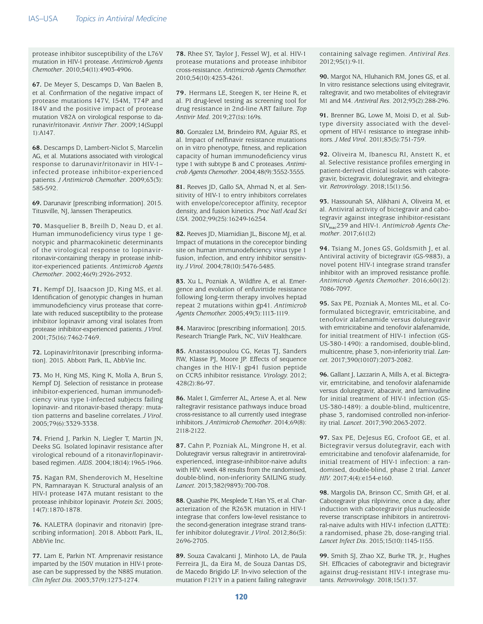protease inhibitor susceptibility of the L76V mutation in HIV-1 protease. *Antimicrob Agents Chemother*. 2010;54(11):4903-4906.

**67.** De Meyer S, Descamps D, Van Baelen B, et al. Confirmation of the negative impact of protease mutations I47V, I54M, T74P and I84V and the positive impact of protease mutation V82A on virological response to darunavir/ritonavir. *Antivir Ther*. 2009;14(Suppl 1):A147.

**68.** Descamps D, Lambert-Niclot S, Marcelin AG, et al. Mutations associated with virological response to darunavir/ritonavir in HIV-1– infected protease inhibitor-experienced patients. *J Antimicrob Chemother*. 2009;63(3): 585-592.

**69.** Darunavir [prescribing information]. 2015. Titusville, NJ, <sup>J</sup> anssen Therapeutics.

**70.** Masquelier B, Breilh D, Neau D, et al. Human immunodeficiency virus type 1 genotypic and pharmacokinetic determinants of the virological response to lopinavirritonavir-containing therapy in protease inhibitor-experienced patients. *Antimicrob Agents Chemother*. 2002;46(9):2926-2932.

**71.** Kempf DJ, Isaacson JD, King MS, et al. Identification of genotypic changes in human immunodeficiency virus protease that correlate with reduced susceptibility to the protease inhibitor lopinavir among viral isolates from protease inhibitor-experienced patients. *<sup>J</sup> Virol*. 2001;75(16):7462-7469.

**72.** Lopinavir/ritonavir [prescribing information]. 2015. Abbott Park, IL, AbbVie Inc.

**73.** Mo H, King MS, King K, Molla A, Brun S, Kempf DJ. Selection of resistance in protease inhibitor-experienced, human immunodeficiency virus type 1-infected subjects failing lopinavir- and ritonavir-based therapy: mutation patterns and baseline correlates. *J Virol*. 2005;79(6):3329-3338.

**74.** Friend J, Parkin N, Liegler T, Martin JN, Deeks SG. Isolated lopinavir resistance after virological rebound of a ritonavir/lopinavirbased regimen. *AIDS*. 2004;18(14):1965-1966.

**75.** Kagan RM, Shenderovich M, Heseltine PN, Ramnarayan K. Structural analysis of an HIV-1 protease I47A mutant resistant to the protease inhibitor lopinavir. *Protein Sci.* 2005; 14(7):1870-1878.

**76.** KALETRA (lopinavir and ritonavir) [prescribing information]. 2018. Abbott Park, IL, AbbVie Inc.

**77.** Lam E, Parkin NT. Amprenavir resistance imparted by the I50V mutation in HIV-1 protease can be suppressed by the N88S mutation. *Clin Infect Dis*. 2003;37(9):1273-1274.

**78.** Rhee SY, Taylor J, Fessel WJ, et al. HIV-1 protease mutations and protease inhibitor cross-resistance. *Antimicrob Agents Chemother.*  2010;54(10):4253-4261.

**79.** Hermans LE, Steegen K, ter Heine R, et al. PI drug-level testing as screening tool for drug resistance in 2nd-line ART failure. *Top Antivir Med*. 2019;27(1s):169s.

**80.** Gonzalez LM, Brindeiro RM, Aguiar RS, et al. Impact of nelfinavir resistance mutations on in vitro phenotype, fitness, and replication capacity of human immunodeficiency virus type 1 with subtype B and C proteases. *Antimicrob Agents Chemother*. 2004;48(9):3552-3555.

**81.** Reeves JD, Gallo SA, Ahmad N, et al. Sensitivity of HIV-1 to entry inhibitors correlates with envelope/coreceptor affinity, receptor density, and fusion kinetics. *Proc Natl Acad Sci USA*. 2002;99(25):16249-16254.

**82.** Reeves JD, Miamidian JL, Biscone MJ, et al. Impact of mutations in the coreceptor binding site on human immunodeficiency virus type 1 fusion, infection, and entry inhibitor sensitivity. *J Virol*. 2004;78(10):5476-5485.

**83.** Xu L, Pozniak A, Wildfire A, et al. Emergence and evolution of enfuvirtide resistance following long-term therapy involves heptad repeat 2 mutations within gp41. *Antimicrob Agents Chemother.* 2005;49(3):1113-1119.

**84.** Maraviroc [prescribing information]. 2015. Research Triangle Park, NC, ViiV Healthcare.

**85.** Anastassopoulou CG, Ketas TJ, Sanders RW, Klasse PJ, Moore JP. Effects of sequence changes in the HIV-1 gp41 fusion peptide on CCR5 inhibitor resistance. *Virology.* 2012; 428(2):86-97.

**86.** Malet I, Gimferrer AL, Artese A, et al. New raltegravir resistance pathways induce broad cross-resistance to all currently used integrase inhibitors. *J Antimicrob Chemother*. 2014;69(8): 2118-2122.

**87.** Cahn P, Pozniak AL, Mingrone H, et al. Dolutegravir versus raltegravir in antiretroviralexperienced, integrase-inhibitor-naive adults with HIV: week 48 results from the randomised, double-blind, non-inferiority SAILING study. *Lancet.* 2013;382(9893):700-708.

**88.** Quashie PK, Mesplede T, Han YS, et al. Characterization of the R263K mutation in HIV-1 integrase that confers low-level resistance to the second-generation integrase strand transfer inhibitor dolutegravir. *J Virol.* 2012;86(5): 2696-2705.

**89.** Souza Cavalcanti J, Minhoto LA, de Paula Ferreira JL, da Eira M, de Souza Dantas DS, de Macedo Brigido LF. In-vivo selection of the mutation F121Y in a patient failing raltegravir

containing salvage regimen. *Antiviral Res*. 2012;95(1):9-11.

**90.** Margot NA, Hluhanich RM, Jones GS, et al. In vitro resistance selections using elvitegravir, raltegravir, and two metabolites of elvitegravir M1 and M4. *Antiviral Res*. 2012;93(2):288-296.

**91.** Brenner BG, Lowe M, Moisi D, et al. Subtype diversity associated with the development of HIV-1 resistance to integrase inhibitors. *J Med Virol*. 2011;83(5):751-759.

**92.** Oliveira M, Ibanescu RI, Anstett K, et al. Selective resistance profiles emerging in patient-derived clinical isolates with cabotegravir, bictegravir, dolutegravir, and elvitegravir. *Retrovirology*. 2018;15(1):56.

**93.** Hassounah SA, Alikhani A, Oliveira M, et al. Antiviral activity of bictegravir and cabotegravir against integrase inhibitor-resistant SIVmac239 and HIV-1. *Antimicrob Agents Chemother*. 2017;61(12)

**94.** Tsiang M, Jones GS, Goldsmith J, et al. Antiviral activity of bictegravir (GS-9883), a novel potent HIV-1 integrase strand transfer inhibitor with an improved resistance profile. *Antimicrob Agents Chemother*. 2016;60(12): 7086-7097.

**95.** Sax PE, Pozniak A, Montes ML, et al. Coformulated bictegravir, emtricitabine, and tenofovir alafenamide versus dolutegravir with emtricitabine and tenofovir alafenamide, for initial treatment of HIV-1 infection (GS-US-380-1490): a randomised, double-blind, multicentre, phase 3, non-inferiority trial. *Lancet.* 2017;390(10107):2073-2082.

**96.** Gallant J, Lazzarin A, Mills A, et al. Bictegravir, emtricitabine, and tenofovir alafenamide versus dolutegravir, abacavir, and lamivudine for initial treatment of HIV-1 infection (GS-US-380-1489): a double-blind, multicentre, phase 3, randomised controlled non-inferiority trial. *Lancet*. 2017;390:2063-2072.

**97.** Sax PE, DeJesus EG, Crofoot GE, et al. Bictegravir versus dolutegravir, each with emtricitabine and tenofovir alafenamide, for initial treatment of HIV-1 infection: a randomised, double-blind, phase 2 trial. *Lancet HIV*. 2017;4(4):e154-e160.

**98.** Margolis DA, Brinson CC, Smith GH, et al. Cabotegravir plus rilpivirine, once a day, after induction with cabotegravir plus nucleoside reverse transcriptase inhibitors in antiretroviral-naive adults with HIV-1 infection (LATTE): a randomised, phase 2b, dose-ranging trial. *Lancet Infect Dis*. 2015;15(10):1145-1155.

**99.** Smith SJ, Zhao XZ, Burke TR, Jr., Hughes SH. Efficacies of cabotegravir and bictegravir against drug-resistant HIV-1 integrase mutants. *Retrovirology*. 2018;15(1):37.